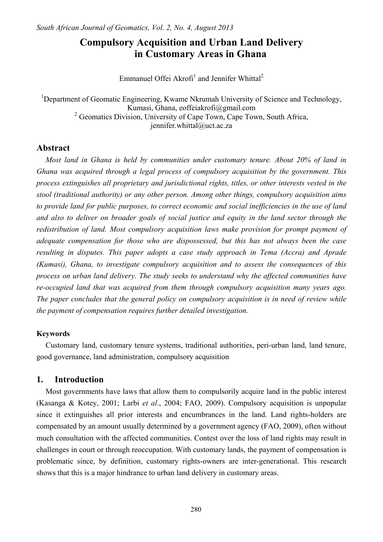# **Compulsory Acquisition and Urban Land Delivery in Customary Areas in Ghana**

Emmanuel Offei Akrofi<sup>1</sup> and Jennifer Whittal<sup>2</sup>

<sup>1</sup>Department of Geomatic Engineering, Kwame Nkrumah University of Science and Technology, Kumasi, Ghana, eoffeiakrofi@gmail.com <sup>2</sup> Geomatics Division, University of Cape Town, Cape Town, South Africa, jennifer.whittal@uct.ac.za

# **Abstract**

*Most land in Ghana is held by communities under customary tenure. About 20% of land in Ghana was acquired through a legal process of compulsory acquisition by the government. This process extinguishes all proprietary and jurisdictional rights, titles, or other interests vested in the stool (traditional authority) or any other person. Among other things, compulsory acquisition aims to provide land for public purposes, to correct economic and social inefficiencies in the use of land and also to deliver on broader goals of social justice and equity in the land sector through the redistribution of land. Most compulsory acquisition laws make provision for prompt payment of adequate compensation for those who are dispossessed, but this has not always been the case resulting in disputes. This paper adopts a case study approach in Tema (Accra) and Aprade (Kumasi), Ghana, to investigate compulsory acquisition and to assess the consequences of this process on urban land delivery. The study seeks to understand why the affected communities have re-occupied land that was acquired from them through compulsory acquisition many years ago. The paper concludes that the general policy on compulsory acquisition is in need of review while the payment of compensation requires further detailed investigation.* 

# **Keywords**

Customary land, customary tenure systems, traditional authorities, peri-urban land, land tenure, good governance, land administration, compulsory acquisition

# **1. Introduction**

Most governments have laws that allow them to compulsorily acquire land in the public interest (Kasanga & Kotey, 2001; Larbi *et al*., 2004; FAO, 2009). Compulsory acquisition is unpopular since it extinguishes all prior interests and encumbrances in the land. Land rights-holders are compensated by an amount usually determined by a government agency (FAO, 2009), often without much consultation with the affected communities. Contest over the loss of land rights may result in challenges in court or through reoccupation. With customary lands, the payment of compensation is problematic since, by definition, customary rights-owners are inter-generational. This research shows that this is a major hindrance to urban land delivery in customary areas.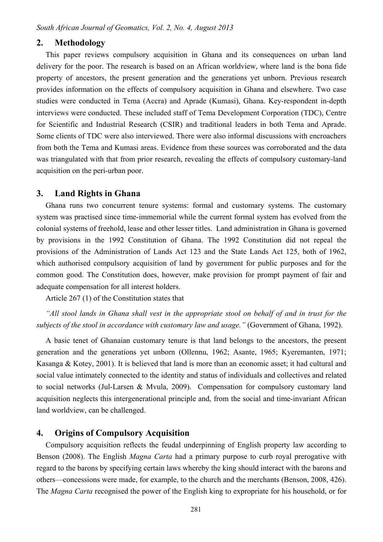### **2. Methodology**

This paper reviews compulsory acquisition in Ghana and its consequences on urban land delivery for the poor. The research is based on an African worldview, where land is the bona fide property of ancestors, the present generation and the generations yet unborn. Previous research provides information on the effects of compulsory acquisition in Ghana and elsewhere. Two case studies were conducted in Tema (Accra) and Aprade (Kumasi), Ghana. Key-respondent in-depth interviews were conducted. These included staff of Tema Development Corporation (TDC), Centre for Scientific and Industrial Research (CSIR) and traditional leaders in both Tema and Aprade. Some clients of TDC were also interviewed. There were also informal discussions with encroachers from both the Tema and Kumasi areas. Evidence from these sources was corroborated and the data was triangulated with that from prior research, revealing the effects of compulsory customary-land acquisition on the peri-urban poor.

# **3. Land Rights in Ghana**

Ghana runs two concurrent tenure systems: formal and customary systems. The customary system was practised since time-immemorial while the current formal system has evolved from the colonial systems of freehold, lease and other lesser titles. Land administration in Ghana is governed by provisions in the 1992 Constitution of Ghana. The 1992 Constitution did not repeal the provisions of the Administration of Lands Act 123 and the State Lands Act 125, both of 1962, which authorised compulsory acquisition of land by government for public purposes and for the common good. The Constitution does, however, make provision for prompt payment of fair and adequate compensation for all interest holders.

Article 267 (1) of the Constitution states that

*"All stool lands in Ghana shall vest in the appropriate stool on behalf of and in trust for the subjects of the stool in accordance with customary law and usage."* (Government of Ghana, 1992).

A basic tenet of Ghanaian customary tenure is that land belongs to the ancestors, the present generation and the generations yet unborn (Ollennu, 1962; Asante, 1965; Kyeremanten, 1971; Kasanga & Kotey, 2001). It is believed that land is more than an economic asset; it had cultural and social value intimately connected to the identity and status of individuals and collectives and related to social networks (Jul-Larsen & Mvula, 2009). Compensation for compulsory customary land acquisition neglects this intergenerational principle and, from the social and time-invariant African land worldview, can be challenged.

# **4. Origins of Compulsory Acquisition**

Compulsory acquisition reflects the feudal underpinning of English property law according to Benson (2008). The English *Magna Carta* had a primary purpose to curb royal prerogative with regard to the barons by specifying certain laws whereby the king should interact with the barons and others—concessions were made, for example, to the church and the merchants (Benson, 2008, 426). The *Magna Carta* recognised the power of the English king to expropriate for his household, or for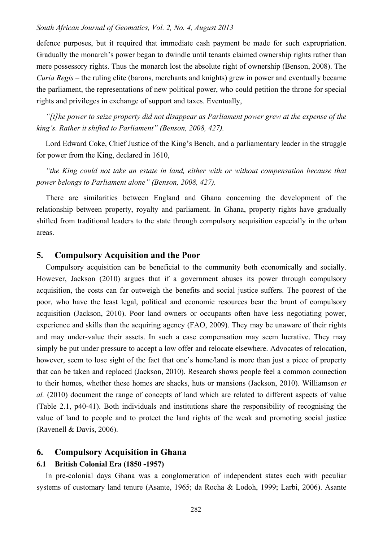# *South African Journal of Geomatics, Vol. 2, No. 4, August 2013*

defence purposes, but it required that immediate cash payment be made for such expropriation. Gradually the monarch's power began to dwindle until tenants claimed ownership rights rather than mere possessory rights. Thus the monarch lost the absolute right of ownership (Benson, 2008). The *Curia Regis* – the ruling elite (barons, merchants and knights) grew in power and eventually became the parliament, the representations of new political power, who could petition the throne for special rights and privileges in exchange of support and taxes. Eventually,

*"[t]he power to seize property did not disappear as Parliament power grew at the expense of the king's. Rather it shifted to Parliament" (Benson, 2008, 427).* 

Lord Edward Coke, Chief Justice of the King's Bench, and a parliamentary leader in the struggle for power from the King, declared in 1610,

*"the King could not take an estate in land, either with or without compensation because that power belongs to Parliament alone" (Benson, 2008, 427).* 

There are similarities between England and Ghana concerning the development of the relationship between property, royalty and parliament. In Ghana, property rights have gradually shifted from traditional leaders to the state through compulsory acquisition especially in the urban areas.

# **5. Compulsory Acquisition and the Poor**

Compulsory acquisition can be beneficial to the community both economically and socially. However, Jackson (2010) argues that if a government abuses its power through compulsory acquisition, the costs can far outweigh the benefits and social justice suffers. The poorest of the poor, who have the least legal, political and economic resources bear the brunt of compulsory acquisition (Jackson, 2010). Poor land owners or occupants often have less negotiating power, experience and skills than the acquiring agency (FAO, 2009). They may be unaware of their rights and may under-value their assets. In such a case compensation may seem lucrative. They may simply be put under pressure to accept a low offer and relocate elsewhere. Advocates of relocation, however, seem to lose sight of the fact that one's home/land is more than just a piece of property that can be taken and replaced (Jackson, 2010). Research shows people feel a common connection to their homes, whether these homes are shacks, huts or mansions (Jackson, 2010). Williamson *et al.* (2010) document the range of concepts of land which are related to different aspects of value (Table 2.1, p40-41). Both individuals and institutions share the responsibility of recognising the value of land to people and to protect the land rights of the weak and promoting social justice (Ravenell & Davis, 2006).

# **6. Compulsory Acquisition in Ghana**

# **6.1 British Colonial Era (1850 -1957)**

In pre-colonial days Ghana was a conglomeration of independent states each with peculiar systems of customary land tenure (Asante, 1965; da Rocha & Lodoh, 1999; Larbi, 2006). Asante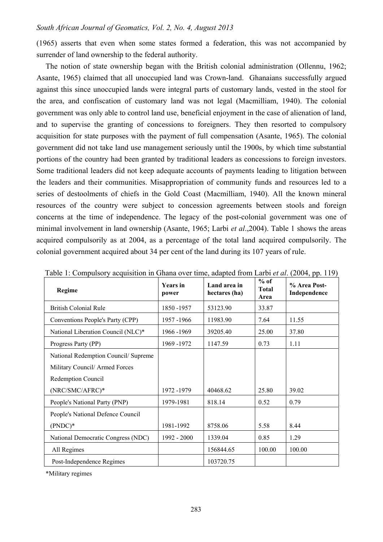(1965) asserts that even when some states formed a federation, this was not accompanied by surrender of land ownership to the federal authority.

The notion of state ownership began with the British colonial administration (Ollennu, 1962; Asante, 1965) claimed that all unoccupied land was Crown-land. Ghanaians successfully argued against this since unoccupied lands were integral parts of customary lands, vested in the stool for the area, and confiscation of customary land was not legal (Macmilliam, 1940). The colonial government was only able to control land use, beneficial enjoyment in the case of alienation of land, and to supervise the granting of concessions to foreigners. They then resorted to compulsory acquisition for state purposes with the payment of full compensation (Asante, 1965). The colonial government did not take land use management seriously until the 1900s, by which time substantial portions of the country had been granted by traditional leaders as concessions to foreign investors. Some traditional leaders did not keep adequate accounts of payments leading to litigation between the leaders and their communities. Misappropriation of community funds and resources led to a series of destoolments of chiefs in the Gold Coast (Macmilliam, 1940). All the known mineral resources of the country were subject to concession agreements between stools and foreign concerns at the time of independence. The legacy of the post-colonial government was one of minimal involvement in land ownership (Asante, 1965; Larbi *et al*.,2004). Table 1 shows the areas acquired compulsorily as at 2004, as a percentage of the total land acquired compulsorily. The colonial government acquired about 34 per cent of the land during its 107 years of rule.

| Regime                               | <b>Years</b> in<br>power | Land area in<br>hectares (ha) | $%$ of<br><b>Total</b><br>Area | % Area Post-<br>Independence |
|--------------------------------------|--------------------------|-------------------------------|--------------------------------|------------------------------|
| <b>British Colonial Rule</b>         | 1850 - 1957              | 53123.90                      | 33.87                          |                              |
| Conventions People's Party (CPP)     | 1957-1966                | 11983.90                      | 7.64                           | 11.55                        |
| National Liberation Council (NLC)*   | 1966 - 1969              | 39205.40                      | 25.00                          | 37.80                        |
| Progress Party (PP)                  | 1969 - 1972              | 1147.59                       | 0.73                           | 1.11                         |
| National Redemption Council/ Supreme |                          |                               |                                |                              |
| Military Council/Armed Forces        |                          |                               |                                |                              |
| Redemption Council                   |                          |                               |                                |                              |
| (NRC/SMC/AFRC)*                      | 1972 - 1979              | 40468.62                      | 25.80                          | 39.02                        |
| People's National Party (PNP)        | 1979-1981                | 818.14                        | 0.52                           | 0.79                         |
| People's National Defence Council    |                          |                               |                                |                              |
| $(PNDC)*$                            | 1981-1992                | 8758.06                       | 5.58                           | 8.44                         |
| National Democratic Congress (NDC)   | 1992 - 2000              | 1339.04                       | 0.85                           | 1.29                         |
| All Regimes                          |                          | 156844.65                     | 100.00                         | 100.00                       |
| Post-Independence Regimes            |                          | 103720.75                     |                                |                              |

Table 1: Compulsory acquisition in Ghana over time, adapted from Larbi *et al*. (2004, pp. 119)

\*Military regimes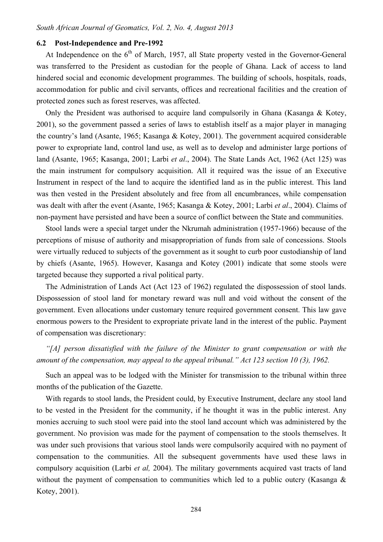### **6.2 Post-Independence and Pre-1992**

At Independence on the 6<sup>th</sup> of March, 1957, all State property vested in the Governor-General was transferred to the President as custodian for the people of Ghana. Lack of access to land hindered social and economic development programmes. The building of schools, hospitals, roads, accommodation for public and civil servants, offices and recreational facilities and the creation of protected zones such as forest reserves, was affected.

Only the President was authorised to acquire land compulsorily in Ghana (Kasanga & Kotey, 2001), so the government passed a series of laws to establish itself as a major player in managing the country's land (Asante, 1965; Kasanga & Kotey, 2001). The government acquired considerable power to expropriate land, control land use, as well as to develop and administer large portions of land (Asante, 1965; Kasanga, 2001; Larbi *et al*., 2004). The State Lands Act, 1962 (Act 125) was the main instrument for compulsory acquisition. All it required was the issue of an Executive Instrument in respect of the land to acquire the identified land as in the public interest. This land was then vested in the President absolutely and free from all encumbrances, while compensation was dealt with after the event (Asante, 1965; Kasanga & Kotey, 2001; Larbi *et al*., 2004). Claims of non-payment have persisted and have been a source of conflict between the State and communities.

Stool lands were a special target under the Nkrumah administration (1957-1966) because of the perceptions of misuse of authority and misappropriation of funds from sale of concessions. Stools were virtually reduced to subjects of the government as it sought to curb poor custodianship of land by chiefs (Asante, 1965). However, Kasanga and Kotey (2001) indicate that some stools were targeted because they supported a rival political party.

The Administration of Lands Act (Act 123 of 1962) regulated the dispossession of stool lands. Dispossession of stool land for monetary reward was null and void without the consent of the government. Even allocations under customary tenure required government consent. This law gave enormous powers to the President to expropriate private land in the interest of the public. Payment of compensation was discretionary:

*"[A] person dissatisfied with the failure of the Minister to grant compensation or with the amount of the compensation, may appeal to the appeal tribunal." Act 123 section 10 (3), 1962.* 

Such an appeal was to be lodged with the Minister for transmission to the tribunal within three months of the publication of the Gazette.

With regards to stool lands, the President could, by Executive Instrument, declare any stool land to be vested in the President for the community, if he thought it was in the public interest. Any monies accruing to such stool were paid into the stool land account which was administered by the government. No provision was made for the payment of compensation to the stools themselves. It was under such provisions that various stool lands were compulsorily acquired with no payment of compensation to the communities. All the subsequent governments have used these laws in compulsory acquisition (Larbi *et al,* 2004). The military governments acquired vast tracts of land without the payment of compensation to communities which led to a public outcry (Kasanga & Kotey, 2001).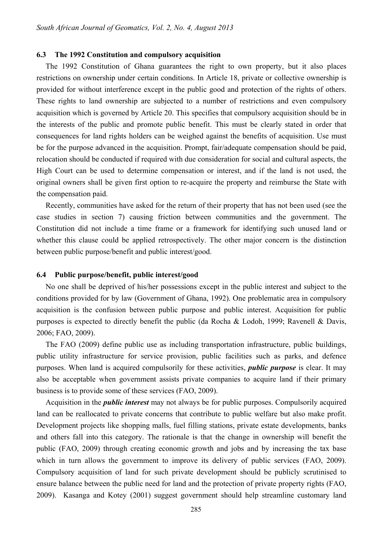#### **6.3 The 1992 Constitution and compulsory acquisition**

The 1992 Constitution of Ghana guarantees the right to own property, but it also places restrictions on ownership under certain conditions. In Article 18, private or collective ownership is provided for without interference except in the public good and protection of the rights of others. These rights to land ownership are subjected to a number of restrictions and even compulsory acquisition which is governed by Article 20. This specifies that compulsory acquisition should be in the interests of the public and promote public benefit. This must be clearly stated in order that consequences for land rights holders can be weighed against the benefits of acquisition. Use must be for the purpose advanced in the acquisition. Prompt, fair/adequate compensation should be paid, relocation should be conducted if required with due consideration for social and cultural aspects, the High Court can be used to determine compensation or interest, and if the land is not used, the original owners shall be given first option to re-acquire the property and reimburse the State with the compensation paid.

Recently, communities have asked for the return of their property that has not been used (see the case studies in section 7) causing friction between communities and the government. The Constitution did not include a time frame or a framework for identifying such unused land or whether this clause could be applied retrospectively. The other major concern is the distinction between public purpose/benefit and public interest/good.

#### **6.4 Public purpose/benefit, public interest/good**

No one shall be deprived of his/her possessions except in the public interest and subject to the conditions provided for by law (Government of Ghana, 1992). One problematic area in compulsory acquisition is the confusion between public purpose and public interest. Acquisition for public purposes is expected to directly benefit the public (da Rocha & Lodoh, 1999; Ravenell & Davis, 2006; FAO, 2009).

The FAO (2009) define public use as including transportation infrastructure, public buildings, public utility infrastructure for service provision, public facilities such as parks, and defence purposes. When land is acquired compulsorily for these activities, *public purpose* is clear. It may also be acceptable when government assists private companies to acquire land if their primary business is to provide some of these services (FAO, 2009).

Acquisition in the *public interest* may not always be for public purposes. Compulsorily acquired land can be reallocated to private concerns that contribute to public welfare but also make profit. Development projects like shopping malls, fuel filling stations, private estate developments, banks and others fall into this category. The rationale is that the change in ownership will benefit the public (FAO, 2009) through creating economic growth and jobs and by increasing the tax base which in turn allows the government to improve its delivery of public services (FAO, 2009). Compulsory acquisition of land for such private development should be publicly scrutinised to ensure balance between the public need for land and the protection of private property rights (FAO, 2009). Kasanga and Kotey (2001) suggest government should help streamline customary land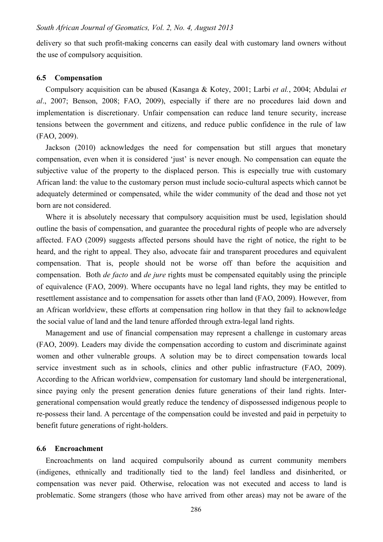delivery so that such profit-making concerns can easily deal with customary land owners without the use of compulsory acquisition.

#### **6.5 Compensation**

Compulsory acquisition can be abused (Kasanga & Kotey, 2001; Larbi *et al.*, 2004; Abdulai *et al*., 2007; Benson, 2008; FAO, 2009), especially if there are no procedures laid down and implementation is discretionary. Unfair compensation can reduce land tenure security, increase tensions between the government and citizens, and reduce public confidence in the rule of law (FAO, 2009).

Jackson (2010) acknowledges the need for compensation but still argues that monetary compensation, even when it is considered 'just' is never enough. No compensation can equate the subjective value of the property to the displaced person. This is especially true with customary African land: the value to the customary person must include socio-cultural aspects which cannot be adequately determined or compensated, while the wider community of the dead and those not yet born are not considered.

Where it is absolutely necessary that compulsory acquisition must be used, legislation should outline the basis of compensation, and guarantee the procedural rights of people who are adversely affected. FAO (2009) suggests affected persons should have the right of notice, the right to be heard, and the right to appeal. They also, advocate fair and transparent procedures and equivalent compensation. That is, people should not be worse off than before the acquisition and compensation. Both *de facto* and *de jure* rights must be compensated equitably using the principle of equivalence (FAO, 2009). Where occupants have no legal land rights, they may be entitled to resettlement assistance and to compensation for assets other than land (FAO, 2009). However, from an African worldview, these efforts at compensation ring hollow in that they fail to acknowledge the social value of land and the land tenure afforded through extra-legal land rights.

Management and use of financial compensation may represent a challenge in customary areas (FAO, 2009). Leaders may divide the compensation according to custom and discriminate against women and other vulnerable groups. A solution may be to direct compensation towards local service investment such as in schools, clinics and other public infrastructure (FAO, 2009). According to the African worldview, compensation for customary land should be intergenerational, since paying only the present generation denies future generations of their land rights. Intergenerational compensation would greatly reduce the tendency of dispossessed indigenous people to re-possess their land. A percentage of the compensation could be invested and paid in perpetuity to benefit future generations of right-holders.

# **6.6 Encroachment**

Encroachments on land acquired compulsorily abound as current community members (indigenes, ethnically and traditionally tied to the land) feel landless and disinherited, or compensation was never paid. Otherwise, relocation was not executed and access to land is problematic. Some strangers (those who have arrived from other areas) may not be aware of the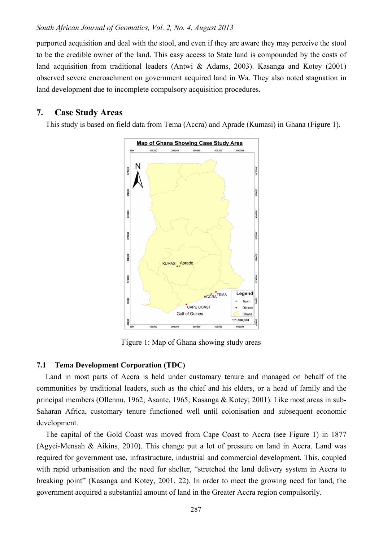#### *South African Journal of Geomatics, Vol. 2, No. 4, August 2013*

purported acquisition and deal with the stool, and even if they are aware they may perceive the stool to be the credible owner of the land. This easy access to State land is compounded by the costs of land acquisition from traditional leaders (Antwi & Adams, 2003). Kasanga and Kotey (2001) observed severe encroachment on government acquired land in Wa. They also noted stagnation in land development due to incomplete compulsory acquisition procedures.

# **7. Case Study Areas**

This study is based on field data from Tema (Accra) and Aprade (Kumasi) in Ghana (Figure 1).



Figure 1: Map of Ghana showing study areas

# **7.1 Tema Development Corporation (TDC)**

Land in most parts of Accra is held under customary tenure and managed on behalf of the communities by traditional leaders, such as the chief and his elders, or a head of family and the principal members (Ollennu, 1962; Asante, 1965; Kasanga & Kotey; 2001). Like most areas in sub-Saharan Africa, customary tenure functioned well until colonisation and subsequent economic development.

The capital of the Gold Coast was moved from Cape Coast to Accra (see Figure 1) in 1877 (Agyei-Mensah & Aikins, 2010). This change put a lot of pressure on land in Accra. Land was required for government use, infrastructure, industrial and commercial development. This, coupled with rapid urbanisation and the need for shelter, "stretched the land delivery system in Accra to breaking point" (Kasanga and Kotey, 2001, 22). In order to meet the growing need for land, the government acquired a substantial amount of land in the Greater Accra region compulsorily.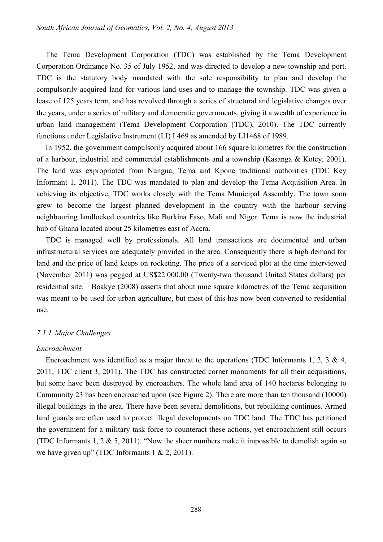The Tema Development Corporation (TDC) was established by the Tema Development Corporation Ordinance No. 35 of July 1952, and was directed to develop a new township and port. TDC is the statutory body mandated with the sole responsibility to plan and develop the compulsorily acquired land for various land uses and to manage the township. TDC was given a lease of 125 years term, and has revolved through a series of structural and legislative changes over the years, under a series of military and democratic governments, giving it a wealth of experience in urban land management (Tema Development Corporation (TDC), 2010). The TDC currently functions under Legislative Instrument (LI) I 469 as amended by LI1468 of 1989.

In 1952, the government compulsorily acquired about 166 square kilometres for the construction of a harbour, industrial and commercial establishments and a township (Kasanga & Kotey, 2001). The land was expropriated from Nungua, Tema and Kpone traditional authorities (TDC Key Informant 1, 2011). The TDC was mandated to plan and develop the Tema Acquisition Area. In achieving its objective, TDC works closely with the Tema Municipal Assembly. The town soon grew to become the largest planned development in the country with the harbour serving neighbouring landlocked countries like Burkina Faso, Mali and Niger. Tema is now the industrial hub of Ghana located about 25 kilometres east of Accra.

TDC is managed well by professionals. All land transactions are documented and urban infrastructural services are adequately provided in the area. Consequently there is high demand for land and the price of land keeps on rocketing. The price of a serviced plot at the time interviewed (November 2011) was pegged at US\$22 000.00 (Twenty-two thousand United States dollars) per residential site. Boakye (2008) asserts that about nine square kilometres of the Tema acquisition was meant to be used for urban agriculture, but most of this has now been converted to residential use.

#### *7.1.1 Major Challenges*

#### *Encroachment*

Encroachment was identified as a major threat to the operations (TDC Informants 1, 2, 3 & 4, 2011; TDC client 3, 2011). The TDC has constructed corner monuments for all their acquisitions, but some have been destroyed by encroachers. The whole land area of 140 hectares belonging to Community 23 has been encroached upon (see Figure 2). There are more than ten thousand (10000) illegal buildings in the area. There have been several demolitions, but rebuilding continues. Armed land guards are often used to protect illegal developments on TDC land. The TDC has petitioned the government for a military task force to counteract these actions, yet encroachment still occurs (TDC Informants 1, 2 & 5, 2011). "Now the sheer numbers make it impossible to demolish again so we have given up" (TDC Informants 1 & 2, 2011).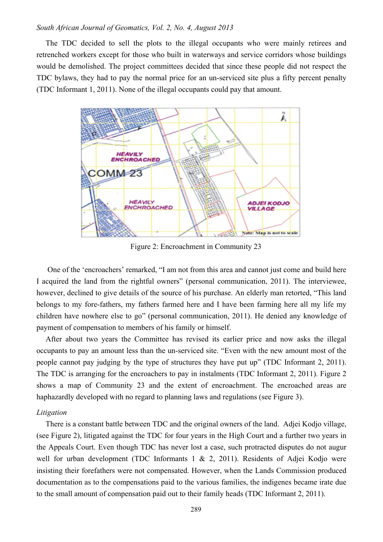#### *South African Journal of Geomatics, Vol. 2, No. 4, August 2013*

The TDC decided to sell the plots to the illegal occupants who were mainly retirees and retrenched workers except for those who built in waterways and service corridors whose buildings would be demolished. The project committees decided that since these people did not respect the TDC bylaws, they had to pay the normal price for an un-serviced site plus a fifty percent penalty (TDC Informant 1, 2011). None of the illegal occupants could pay that amount.



Figure 2: Encroachment in Community 23

 One of the 'encroachers' remarked, "I am not from this area and cannot just come and build here I acquired the land from the rightful owners" (personal communication, 2011). The interviewee, however, declined to give details of the source of his purchase. An elderly man retorted, "This land belongs to my fore-fathers, my fathers farmed here and I have been farming here all my life my children have nowhere else to go" (personal communication, 2011). He denied any knowledge of payment of compensation to members of his family or himself.

After about two years the Committee has revised its earlier price and now asks the illegal occupants to pay an amount less than the un-serviced site. "Even with the new amount most of the people cannot pay judging by the type of structures they have put up" (TDC Informant 2, 2011). The TDC is arranging for the encroachers to pay in instalments (TDC Informant 2, 2011). Figure 2 shows a map of Community 23 and the extent of encroachment. The encroached areas are haphazardly developed with no regard to planning laws and regulations (see Figure 3).

#### *Litigation*

There is a constant battle between TDC and the original owners of the land. Adjei Kodjo village, (see Figure 2), litigated against the TDC for four years in the High Court and a further two years in the Appeals Court. Even though TDC has never lost a case, such protracted disputes do not augur well for urban development (TDC Informants 1 & 2, 2011). Residents of Adjei Kodjo were insisting their forefathers were not compensated. However, when the Lands Commission produced documentation as to the compensations paid to the various families, the indigenes became irate due to the small amount of compensation paid out to their family heads (TDC Informant 2, 2011).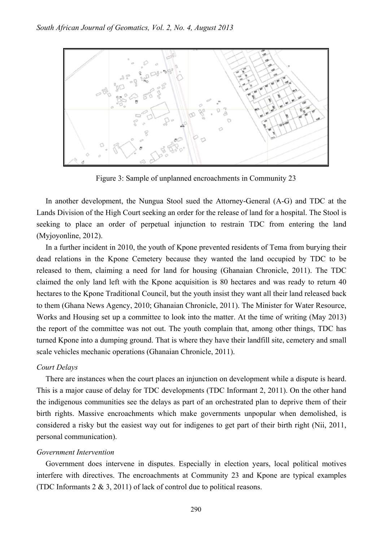

Figure 3: Sample of unplanned encroachments in Community 23

In another development, the Nungua Stool sued the Attorney-General (A-G) and TDC at the Lands Division of the High Court seeking an order for the release of land for a hospital. The Stool is seeking to place an order of perpetual injunction to restrain TDC from entering the land (Myjoyonline, 2012).

In a further incident in 2010, the youth of Kpone prevented residents of Tema from burying their dead relations in the Kpone Cemetery because they wanted the land occupied by TDC to be released to them, claiming a need for land for housing (Ghanaian Chronicle, 2011). The TDC claimed the only land left with the Kpone acquisition is 80 hectares and was ready to return 40 hectares to the Kpone Traditional Council, but the youth insist they want all their land released back to them (Ghana News Agency, 2010; Ghanaian Chronicle, 2011). The Minister for Water Resource, Works and Housing set up a committee to look into the matter. At the time of writing (May 2013) the report of the committee was not out. The youth complain that, among other things, TDC has turned Kpone into a dumping ground. That is where they have their landfill site, cemetery and small scale vehicles mechanic operations (Ghanaian Chronicle, 2011).

#### *Court Delays*

There are instances when the court places an injunction on development while a dispute is heard. This is a major cause of delay for TDC developments (TDC Informant 2, 2011). On the other hand the indigenous communities see the delays as part of an orchestrated plan to deprive them of their birth rights. Massive encroachments which make governments unpopular when demolished, is considered a risky but the easiest way out for indigenes to get part of their birth right (Nii, 2011, personal communication).

#### *Government Intervention*

Government does intervene in disputes. Especially in election years, local political motives interfere with directives. The encroachments at Community 23 and Kpone are typical examples (TDC Informants 2 & 3, 2011) of lack of control due to political reasons.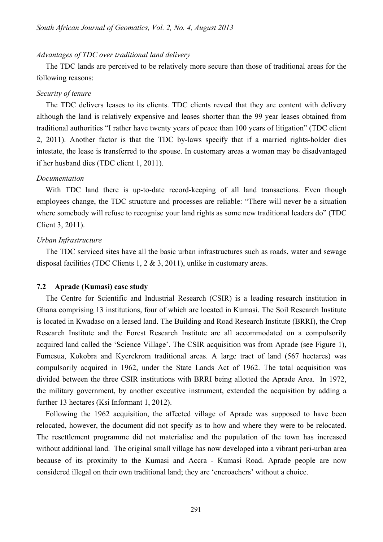# *Advantages of TDC over traditional land delivery*

The TDC lands are perceived to be relatively more secure than those of traditional areas for the following reasons:

#### *Security of tenure*

The TDC delivers leases to its clients. TDC clients reveal that they are content with delivery although the land is relatively expensive and leases shorter than the 99 year leases obtained from traditional authorities "I rather have twenty years of peace than 100 years of litigation" (TDC client 2, 2011). Another factor is that the TDC by-laws specify that if a married rights-holder dies intestate, the lease is transferred to the spouse. In customary areas a woman may be disadvantaged if her husband dies (TDC client 1, 2011).

#### *Documentation*

With TDC land there is up-to-date record-keeping of all land transactions. Even though employees change, the TDC structure and processes are reliable: "There will never be a situation where somebody will refuse to recognise your land rights as some new traditional leaders do" (TDC Client 3, 2011).

#### *Urban Infrastructure*

The TDC serviced sites have all the basic urban infrastructures such as roads, water and sewage disposal facilities (TDC Clients 1, 2 & 3, 2011), unlike in customary areas.

### **7.2 Aprade (Kumasi) case study**

The Centre for Scientific and Industrial Research (CSIR) is a leading research institution in Ghana comprising 13 institutions, four of which are located in Kumasi. The Soil Research Institute is located in Kwadaso on a leased land. The Building and Road Research Institute (BRRI), the Crop Research Institute and the Forest Research Institute are all accommodated on a compulsorily acquired land called the 'Science Village'. The CSIR acquisition was from Aprade (see Figure 1), Fumesua, Kokobra and Kyerekrom traditional areas. A large tract of land (567 hectares) was compulsorily acquired in 1962, under the State Lands Act of 1962. The total acquisition was divided between the three CSIR institutions with BRRI being allotted the Aprade Area. In 1972, the military government, by another executive instrument, extended the acquisition by adding a further 13 hectares (Ksi Informant 1, 2012).

Following the 1962 acquisition, the affected village of Aprade was supposed to have been relocated, however, the document did not specify as to how and where they were to be relocated. The resettlement programme did not materialise and the population of the town has increased without additional land. The original small village has now developed into a vibrant peri-urban area because of its proximity to the Kumasi and Accra - Kumasi Road. Aprade people are now considered illegal on their own traditional land; they are 'encroachers' without a choice.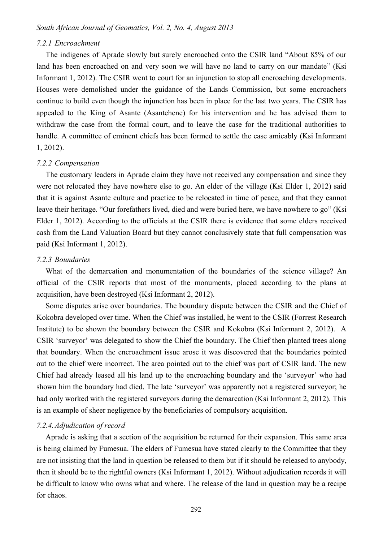#### *7.2.1 Encroachment*

The indigenes of Aprade slowly but surely encroached onto the CSIR land "About 85% of our land has been encroached on and very soon we will have no land to carry on our mandate" (Ksi Informant 1, 2012). The CSIR went to court for an injunction to stop all encroaching developments. Houses were demolished under the guidance of the Lands Commission, but some encroachers continue to build even though the injunction has been in place for the last two years. The CSIR has appealed to the King of Asante (Asantehene) for his intervention and he has advised them to withdraw the case from the formal court, and to leave the case for the traditional authorities to handle. A committee of eminent chiefs has been formed to settle the case amicably (Ksi Informant 1, 2012).

#### *7.2.2 Compensation*

The customary leaders in Aprade claim they have not received any compensation and since they were not relocated they have nowhere else to go. An elder of the village (Ksi Elder 1, 2012) said that it is against Asante culture and practice to be relocated in time of peace, and that they cannot leave their heritage. "Our forefathers lived, died and were buried here, we have nowhere to go" (Ksi Elder 1, 2012). According to the officials at the CSIR there is evidence that some elders received cash from the Land Valuation Board but they cannot conclusively state that full compensation was paid (Ksi Informant 1, 2012).

#### *7.2.3 Boundaries*

What of the demarcation and monumentation of the boundaries of the science village? An official of the CSIR reports that most of the monuments, placed according to the plans at acquisition, have been destroyed (Ksi Informant 2, 2012).

Some disputes arise over boundaries. The boundary dispute between the CSIR and the Chief of Kokobra developed over time. When the Chief was installed, he went to the CSIR (Forrest Research Institute) to be shown the boundary between the CSIR and Kokobra (Ksi Informant 2, 2012). A CSIR 'surveyor' was delegated to show the Chief the boundary. The Chief then planted trees along that boundary. When the encroachment issue arose it was discovered that the boundaries pointed out to the chief were incorrect. The area pointed out to the chief was part of CSIR land. The new Chief had already leased all his land up to the encroaching boundary and the 'surveyor' who had shown him the boundary had died. The late 'surveyor' was apparently not a registered surveyor; he had only worked with the registered surveyors during the demarcation (Ksi Informant 2, 2012). This is an example of sheer negligence by the beneficiaries of compulsory acquisition.

#### *7.2.4. Adjudication of record*

Aprade is asking that a section of the acquisition be returned for their expansion. This same area is being claimed by Fumesua. The elders of Fumesua have stated clearly to the Committee that they are not insisting that the land in question be released to them but if it should be released to anybody, then it should be to the rightful owners (Ksi Informant 1, 2012). Without adjudication records it will be difficult to know who owns what and where. The release of the land in question may be a recipe for chaos.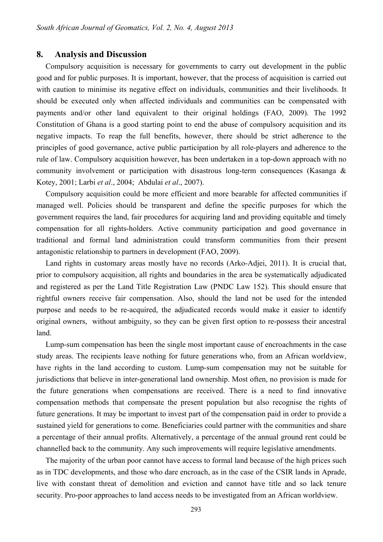### **8. Analysis and Discussion**

Compulsory acquisition is necessary for governments to carry out development in the public good and for public purposes. It is important, however, that the process of acquisition is carried out with caution to minimise its negative effect on individuals, communities and their livelihoods. It should be executed only when affected individuals and communities can be compensated with payments and/or other land equivalent to their original holdings (FAO, 2009). The 1992 Constitution of Ghana is a good starting point to end the abuse of compulsory acquisition and its negative impacts. To reap the full benefits, however, there should be strict adherence to the principles of good governance, active public participation by all role-players and adherence to the rule of law. Compulsory acquisition however, has been undertaken in a top-down approach with no community involvement or participation with disastrous long-term consequences (Kasanga & Kotey, 2001; Larbi *et al*., 2004; Abdulai *et al*., 2007).

Compulsory acquisition could be more efficient and more bearable for affected communities if managed well. Policies should be transparent and define the specific purposes for which the government requires the land, fair procedures for acquiring land and providing equitable and timely compensation for all rights-holders. Active community participation and good governance in traditional and formal land administration could transform communities from their present antagonistic relationship to partners in development (FAO, 2009).

Land rights in customary areas mostly have no records (Arko-Adjei, 2011). It is crucial that, prior to compulsory acquisition, all rights and boundaries in the area be systematically adjudicated and registered as per the Land Title Registration Law (PNDC Law 152). This should ensure that rightful owners receive fair compensation. Also, should the land not be used for the intended purpose and needs to be re-acquired, the adjudicated records would make it easier to identify original owners, without ambiguity, so they can be given first option to re-possess their ancestral land.

Lump-sum compensation has been the single most important cause of encroachments in the case study areas. The recipients leave nothing for future generations who, from an African worldview, have rights in the land according to custom. Lump-sum compensation may not be suitable for jurisdictions that believe in inter-generational land ownership. Most often, no provision is made for the future generations when compensations are received. There is a need to find innovative compensation methods that compensate the present population but also recognise the rights of future generations. It may be important to invest part of the compensation paid in order to provide a sustained yield for generations to come. Beneficiaries could partner with the communities and share a percentage of their annual profits. Alternatively, a percentage of the annual ground rent could be channelled back to the community. Any such improvements will require legislative amendments.

The majority of the urban poor cannot have access to formal land because of the high prices such as in TDC developments, and those who dare encroach, as in the case of the CSIR lands in Aprade, live with constant threat of demolition and eviction and cannot have title and so lack tenure security. Pro-poor approaches to land access needs to be investigated from an African worldview.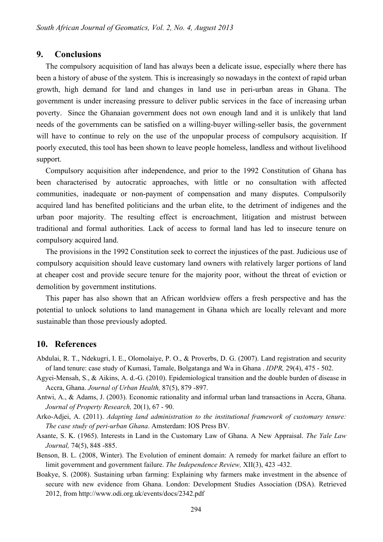# **9. Conclusions**

The compulsory acquisition of land has always been a delicate issue, especially where there has been a history of abuse of the system. This is increasingly so nowadays in the context of rapid urban growth, high demand for land and changes in land use in peri-urban areas in Ghana. The government is under increasing pressure to deliver public services in the face of increasing urban poverty. Since the Ghanaian government does not own enough land and it is unlikely that land needs of the governments can be satisfied on a willing-buyer willing-seller basis, the government will have to continue to rely on the use of the unpopular process of compulsory acquisition. If poorly executed, this tool has been shown to leave people homeless, landless and without livelihood support.

Compulsory acquisition after independence, and prior to the 1992 Constitution of Ghana has been characterised by autocratic approaches, with little or no consultation with affected communities, inadequate or non-payment of compensation and many disputes. Compulsorily acquired land has benefited politicians and the urban elite, to the detriment of indigenes and the urban poor majority. The resulting effect is encroachment, litigation and mistrust between traditional and formal authorities. Lack of access to formal land has led to insecure tenure on compulsory acquired land.

The provisions in the 1992 Constitution seek to correct the injustices of the past. Judicious use of compulsory acquisition should leave customary land owners with relatively larger portions of land at cheaper cost and provide secure tenure for the majority poor, without the threat of eviction or demolition by government institutions.

This paper has also shown that an African worldview offers a fresh perspective and has the potential to unlock solutions to land management in Ghana which are locally relevant and more sustainable than those previously adopted.

# **10. References**

- Abdulai, R. T., Ndekugri, I. E., Olomolaiye, P. O., & Proverbs, D. G. (2007). Land registration and security of land tenure: case study of Kumasi, Tamale, Bolgatanga and Wa in Ghana . *IDPR,* 29(4), 475 - 502.
- Agyei-Mensah, S., & Aikins, A. d.-G. (2010). Epidemiological transition and the double burden of disease in Accra, Ghana. *Journal of Urban Health,* 87(5), 879 -897.
- Antwi, A., & Adams, J. (2003). Economic rationality and informal urban land transactions in Accra, Ghana. *Journal of Property Research,* 20(1), 67 - 90.
- Arko-Adjei, A. (2011). *Adapting land administration to the institutional framework of customary tenure: The case study of peri-urban Ghana*. Amsterdam: IOS Press BV.
- Asante, S. K. (1965). Interests in Land in the Customary Law of Ghana. A New Appraisal. *The Yale Law Journal,* 74(5), 848 -885.
- Benson, B. L. (2008, Winter). The Evolution of eminent domain: A remedy for market failure an effort to limit government and government failure. *The Independence Review,* XII(3), 423 -432.
- Boakye, S. (2008). Sustaining urban farming: Explaining why farmers make investment in the absence of secure with new evidence from Ghana. London: Development Studies Association (DSA). Retrieved 2012, from http://www.odi.org.uk/events/docs/2342.pdf